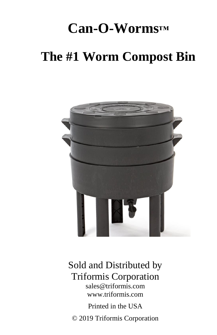# **Can-O-Worms™**

## **The #1 Worm Compost Bin**



## Sold and Distributed by Triformis Corporation sales@triformis.com

www.triformis.com

Printed in the USA © 2019 Triformis Corporation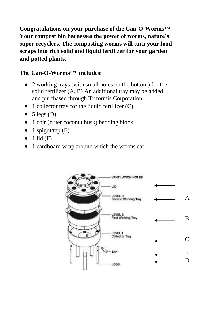**Congratulations on your purchase of the Can-O-Worms™. Your compost bin harnesses the power of worms, nature's super recyclers. The composting worms will turn your food scraps into rich solid and liquid fertilizer for your garden and potted plants.**

#### **The Can-O-Worms™ includes:**

- 2 working trays (with small holes on the bottom) for the solid fertilizer (A, B) An additional tray may be added and purchased through Triformis Corporation.
- $\bullet$  1 collector tray for the liquid fertilizer (C)
- $\bullet$  5 legs (D)
- 1 coir (outer coconut husk) bedding block
- $\bullet$  1 spigot/tap (E)
- $\bullet$  1 lid (F)
- 1 cardboard wrap around which the worms eat

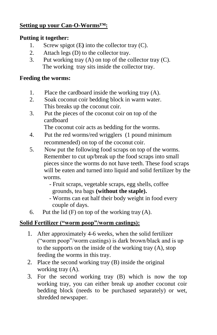#### **Setting up your Can-O-Worms™:**

#### **Putting it together:**

- 1. Screw spigot (E**)** into the collector tray (C).
- 2. Attach legs (D) to the collector tray.
- 3. Put working tray (A) on top of the collector tray (C). The working tray sits inside the collector tray.

#### **Feeding the worms:**

- 1. Place the cardboard inside the working tray (A).
- 2. Soak coconut coir bedding block in warm water. This breaks up the coconut coir.
- 3. Put the pieces of the coconut coir on top of the cardboard

The coconut coir acts as bedding for the worms.

- 4. Put the red worms/red wrigglers (1 pound minimum recommended) on top of the coconut coir.
- 5. Now put the following food scraps on top of the worms. Remember to cut up/break up the food scraps into small pieces since the worms do not have teeth. These food scraps will be eaten and turned into liquid and solid fertilizer by the worms.
	- Fruit scraps, vegetable scraps, egg shells, coffee grounds, tea bags **(without the staple).**
	- Worms can eat half their body weight in food every couple of days.
- 6. Put the lid  $(F)$  on top of the working tray  $(A)$ .

#### **Solid Fertilizer ("worm poop"/worm castings):**

- 1. After approximately 4-6 weeks, when the solid fertilizer ("worm poop"/worm castings) is dark brown/black and is up to the supports on the inside of the working tray (A), stop feeding the worms in this tray.
- 2. Place the second working tray (B) inside the original working tray (A).
- 3. For the second working tray (B) which is now the top working tray, you can either break up another coconut coir bedding block (needs to be purchased separately) or wet, shredded newspaper.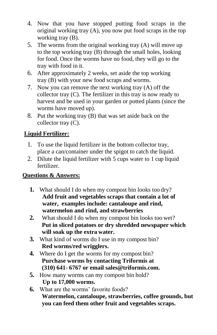- 4. Now that you have stopped putting food scraps in the original working tray (A), you now put food scraps in the top working tray (B).
- 5. The worms from the original working tray (A) will move up to the top working tray (B) through the small holes, looking for food. Once the worms have no food, they will go to the tray with food in it.
- 6. After approximately 2 weeks, set aside the top working tray (B) with your new food scraps and worms.
- 7. Now you can remove the next working tray (A) off the collector tray (C). The fertilizer in this tray is now ready to harvest and be used in your garden or potted plants (since the worms have moved up).
- 8. Put the working tray (B) that was set aside back on the collector tray (C).

## **Liquid Fertilizer:**

- 1. To use the liquid fertilizer in the bottom collector tray, place a can/container under the spigot to catch the liquid.
- 2. Dilute the liquid fertilizer with 5 cups water to 1 cup liquid fertilizer.

#### **Questions & Answers:**

- **1.** What should I do when my compost bin looks too dry? **Add fruit and vegetables scraps that contain a lot of water, examples include: cantaloupe and rind, watermelon and rind, and strawberries**
- **2.** What should I do when my compost bin looks too wet? **Put in sliced potatoes or dry shredded newspaper which will soak up the extra water.**
- **3.** What kind of worms do I use in my compost bin? **Red worms/red wrigglers.**
- **4.** Where do I get the worms for my compost bin? **Purchase worms by contacting Triformis at (310) 641- 6767 or email [sales@triformis.com.](mailto:sales@triformis.com)**
- **5.** How many worms can my compost bin hold? **Up to 17,000 worms.**
- **6.** What are the worms' favorite foods? **Watermelon, cantaloupe, strawberries, coffee grounds, but you can feed them other fruit and vegetables scraps.**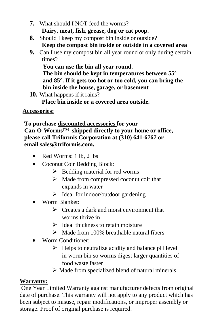- **7.** What should I NOT feed the worms? **Dairy, meat, fish, grease, dog or cat poop.**
- **8.** Should I keep my compost bin inside or outside? **Keep the compost bin inside or outside in a covered area**
- **9.** Can I use my compost bin all year round or only during certain times?

**You can use the bin all year round. The bin should be kept in temperatures between 55° and 85°. If it gets too hot or too cold, you can bring the bin inside the house, garage, or basement**

**10.** What happens if it rains?

**Place bin inside or a covered area outside.**

#### **Accessories:**

 **To purchase discounted accessories for your Can-O-Worms™ shipped directly to your home or office, please call Triformis Corporation at (310) 641-6767 or email [sales@triformis.com.](mailto:sales@triformis.com)**

- Red Worms: 1 lb, 2 lbs
- Coconut Coir Bedding Block:
	- $\triangleright$  Bedding material for red worms
	- $\triangleright$  Made from compressed coconut coir that expands in water
	- $\triangleright$  Ideal for indoor/outdoor gardening
- Worm Blanket:
	- $\triangleright$  Creates a dark and moist environment that worms thrive in
	- $\triangleright$  Ideal thickness to retain moisture
	- $\triangleright$  Made from 100% breathable natural fibers
- Worm Conditioner:
	- $\triangleright$  Helps to neutralize acidity and balance pH level in worm bin so worms digest larger quantities of food waste faster
	- $\triangleright$  Made from specialized blend of natural minerals

#### **Warranty:**

One Year Limited Warranty against manufacturer defects from original date of purchase. This warranty will not apply to any product which has been subject to misuse, repair modifications, or improper assembly or storage. Proof of original purchase is required.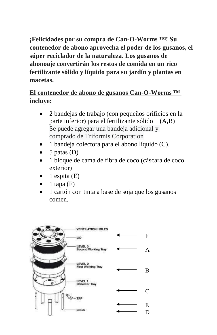**¡Felicidades por su compra de Can-O-Worms ™! Su contenedor de abono aprovecha el poder de los gusanos, el súper reciclador de la naturaleza. Los gusanos de abonoaje convertirán los restos de comida en un rico fertilizante sólido y líquido para su jardín y plantas en macetas.**

## **El contenedor de abono de gusanos Can-O-Worms ™ incluye:**

- 2 bandejas de trabajo (con pequeños orificios en la parte inferior) para el fertilizante sólido (A,B) Se puede agregar una bandeja adicional y comprado de Triformis Corporation
- 1 bandeja colectora para el abono líquido (C).
- 5 patas (D)
- 1 bloque de cama de fibra de coco (cáscara de coco exterior)
- 1 espita (E)
- 1 tapa  $(F)$
- 1 cartón con tinta a base de soja que los gusanos comen.

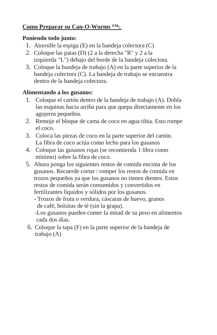#### **Como Preparar su Can-O-Worms ™:**

#### **Poniendo todo junto:**

- 1. Atornille la espiga (E) en la bandeja colectora (C)
- 2. Coloque las patas (D) (2 a la derecha "R" y 2 a la izquierda "L") debajo del borde de la bandeja colectora.
- 3. Coloque la bandeja de trabajo (A) en la parte superior de la bandeja colectora (C). La bandeja de trabajo se encuentra dentro de la bandeja colectora.

#### **Alimentando a los gusanos:**

- 1. Coloque el cartón dentro de la bandeja de trabajo (A). Dobla las esquinas hacia arriba para que quepa directamente en los agujeros pequeños.
- 2. Remoje el bloque de cama de coco en agua tibia. Esto rompe el coco.
- 3. Coloca las piezas de coco en la parte superior del cartón. La fibra de coco actúa como lecho para los gusanos
- 4. Coloque las gusanos rojas (se recomienda 1 libra como mínimo) sobre la fibra de coco.
- 5. Ahora ponga los siguientes restos de comida encima de los gusanos. Recuerde cortar / romper los restos de comida en trozos pequeños ya que los gusanos no tienen dientes. Estos restos de comida serán consumidos y convertidos en fertilizantes líquidos y sólidos por los gusanos.
	- Trozos de fruta o verdura, cáscaras de huevo, granos de café, bolsitas de té (sin la grapa).

 -Los gusanos pueden comer la mitad de su peso en alimentos cada dos días.

6. Coloque la tapa (F) en la parte superior de la bandeja de trabajo (A)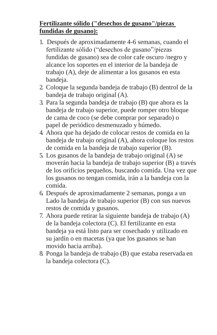## **Fertilizante sólido ("desechos de gusano"/piezas fundidas de gusano):**

- 1. Después de aproximadamente 4-6 semanas, cuando el fertilizante sólido ("desechos de gusano"/piezas fundidas de gusano) sea de color cafe oscuro /negro y alcance los soportes en el interior de la bandeja de trabajo (A), deje de alimentar a los gusanos en esta bandeja.
- 2. Coloque la segunda bandeja de trabajo (B) dentrol de la bandeja de trabajo original (A).
- 3. Para la segunda bandeja de trabajo (B) que ahora es la bandeja de trabajo superior, puede romper otro bloque de cama de coco (se debe comprar por separado) o papel de periódico desmenuzado y húmedo.
- 4. Ahora que ha dejado de colocar restos de comida en la bandeja de trabajo original (A), ahora coloque los restos de comida en la bandeja de trabajo superior (B).
- 5. Los gusanos de la bandeja de trabajo original (A) se moverán hacia la bandeja de trabajo superior (B) a través de los orificios pequeños, buscando comida. Una vez que los gusanos no tengan comida, irán a la bandeja con la comida.
- 6. Después de aproximadamente 2 semanas, ponga a un Lado la bandeja de trabajo superior (B) con sus nuevos restos de comida y gusanos.
- 7. Ahora puede retirar la siguiente bandeja de trabajo (A) de la bandeja colectora (C). El fertilizante en esta bandeja ya está listo para ser cosechado y utilizado en su jardín o en macetas (ya que los gusanos se han movido hacia arriba).
- 8. Ponga la bandeja de trabajo (B) que estaba reservada en la bandeja colectora (C).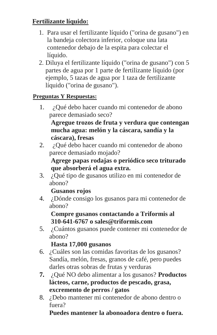## **Fertilizante líquido:**

- 1. Para usar el fertilizante líquido ("orina de gusano") en la bandeja colectora inferior, coloque una lata contenedor debajo de la espita para colectar el líquido.
- 2. Diluya el fertilizante líquido ("orina de gusano") con 5 partes de agua por 1 parte de fertilizante líquido (por ejemplo, 5 tazas de agua por 1 taza de fertilizante líquido ("orina de gusano").

## **Preguntas Y Respuestas:**

1. ¿Qué debo hacer cuando mi contenedor de abono parece demasiado seco?

## **Agregue trozos de fruta y verdura que contengan mucha agua: melón y la cáscara, sandía y la cáscara), fresas**

2. ¿Qué debo hacer cuando mi contenedor de abono parece demasiado mojado?

## **Agrege papas rodajas o periódico seco triturado que absorberá el agua extra.**

3. ¿Qué tipo de gusanos utilizo en mi contenedor de abono?

## **Gusanos rojos**

4. ¿Dónde consigo los gusanos para mi contenedor de abono?

## **Compre gusanos contactando a Triformis al 310-641-6767 o [sales@triformis.com](mailto:sales@triformis.com)**

5. ¿Cuántos gusanos puede contener mi contenedor de abono?

## **Hasta 17,000 gusanos**

- 6. ¿Cuáles son las comidas favoritas de los gusanos? Sandía, melón, fresas, granos de café, pero puedes darles otras sobras de frutas y verduras
- **7.** ¿Qué NO debo alimentar a los gusanos? **Productos lácteos, carne, productos de pescado, grasa, excremento de perros / gatos**
- 8. ¿Debo mantener mi contenedor de abono dentro o fuera?

## **Puedes mantener la abonoadora dentro o fuera.**